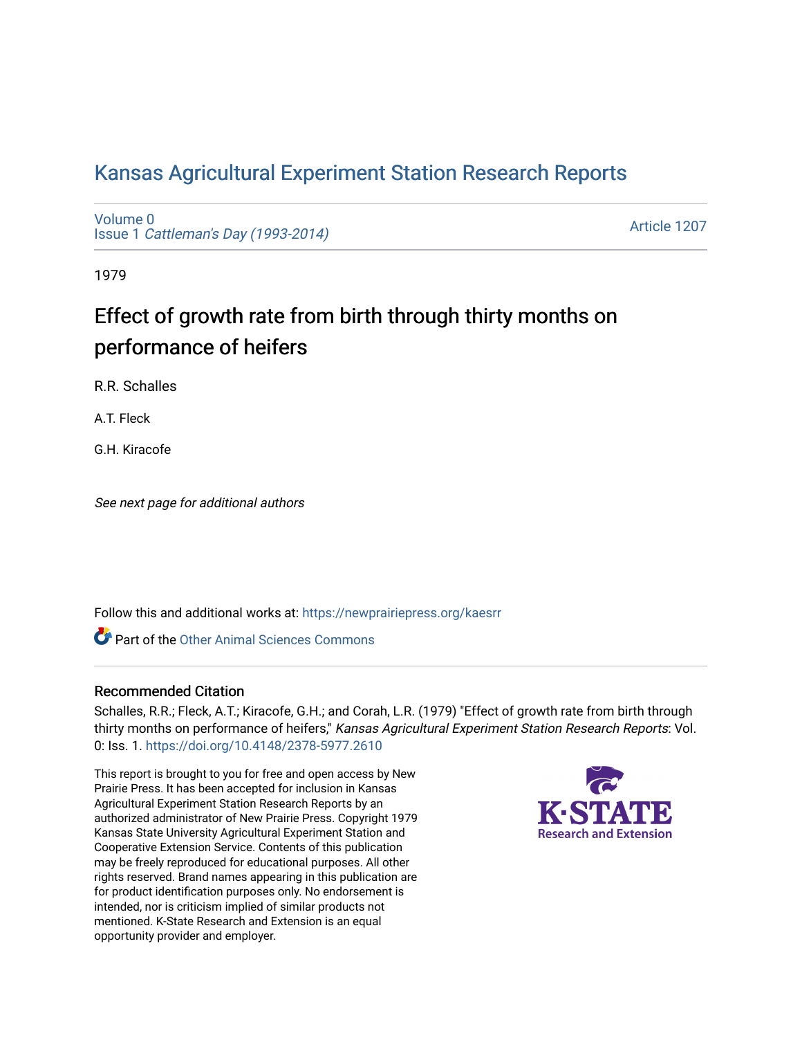## [Kansas Agricultural Experiment Station Research Reports](https://newprairiepress.org/kaesrr)

[Volume 0](https://newprairiepress.org/kaesrr/vol0) Issue 1 [Cattleman's Day \(1993-2014\)](https://newprairiepress.org/kaesrr/vol0/iss1) 

[Article 1207](https://newprairiepress.org/kaesrr/vol0/iss1/1207) 

1979

# Effect of growth rate from birth through thirty months on performance of heifers

R.R. Schalles

A.T. Fleck

G.H. Kiracofe

See next page for additional authors

Follow this and additional works at: [https://newprairiepress.org/kaesrr](https://newprairiepress.org/kaesrr?utm_source=newprairiepress.org%2Fkaesrr%2Fvol0%2Fiss1%2F1207&utm_medium=PDF&utm_campaign=PDFCoverPages) 

**C** Part of the [Other Animal Sciences Commons](http://network.bepress.com/hgg/discipline/82?utm_source=newprairiepress.org%2Fkaesrr%2Fvol0%2Fiss1%2F1207&utm_medium=PDF&utm_campaign=PDFCoverPages)

#### Recommended Citation

Schalles, R.R.; Fleck, A.T.; Kiracofe, G.H.; and Corah, L.R. (1979) "Effect of growth rate from birth through thirty months on performance of heifers," Kansas Agricultural Experiment Station Research Reports: Vol. 0: Iss. 1.<https://doi.org/10.4148/2378-5977.2610>

This report is brought to you for free and open access by New Prairie Press. It has been accepted for inclusion in Kansas Agricultural Experiment Station Research Reports by an authorized administrator of New Prairie Press. Copyright 1979 Kansas State University Agricultural Experiment Station and Cooperative Extension Service. Contents of this publication may be freely reproduced for educational purposes. All other rights reserved. Brand names appearing in this publication are for product identification purposes only. No endorsement is intended, nor is criticism implied of similar products not mentioned. K-State Research and Extension is an equal opportunity provider and employer.

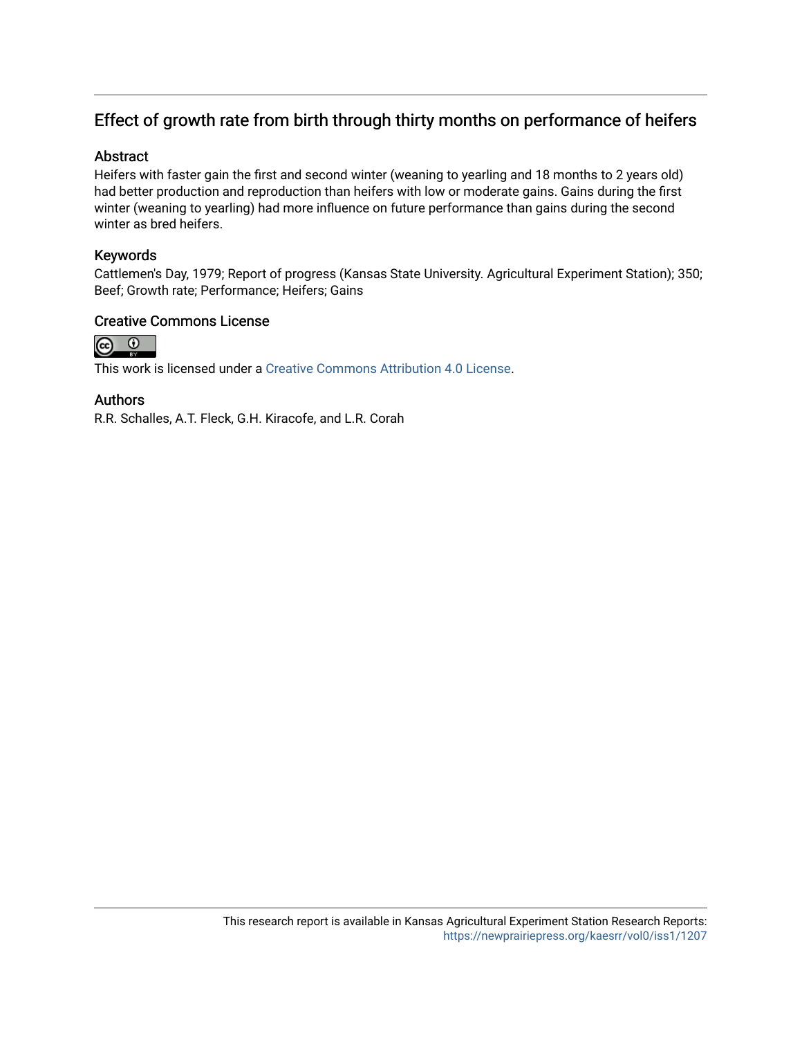## Effect of growth rate from birth through thirty months on performance of heifers

#### Abstract

Heifers with faster gain the first and second winter (weaning to yearling and 18 months to 2 years old) had better production and reproduction than heifers with low or moderate gains. Gains during the first winter (weaning to yearling) had more influence on future performance than gains during the second winter as bred heifers.

#### Keywords

Cattlemen's Day, 1979; Report of progress (Kansas State University. Agricultural Experiment Station); 350; Beef; Growth rate; Performance; Heifers; Gains

#### Creative Commons License



This work is licensed under a [Creative Commons Attribution 4.0 License](https://creativecommons.org/licenses/by/4.0/).

#### Authors

R.R. Schalles, A.T. Fleck, G.H. Kiracofe, and L.R. Corah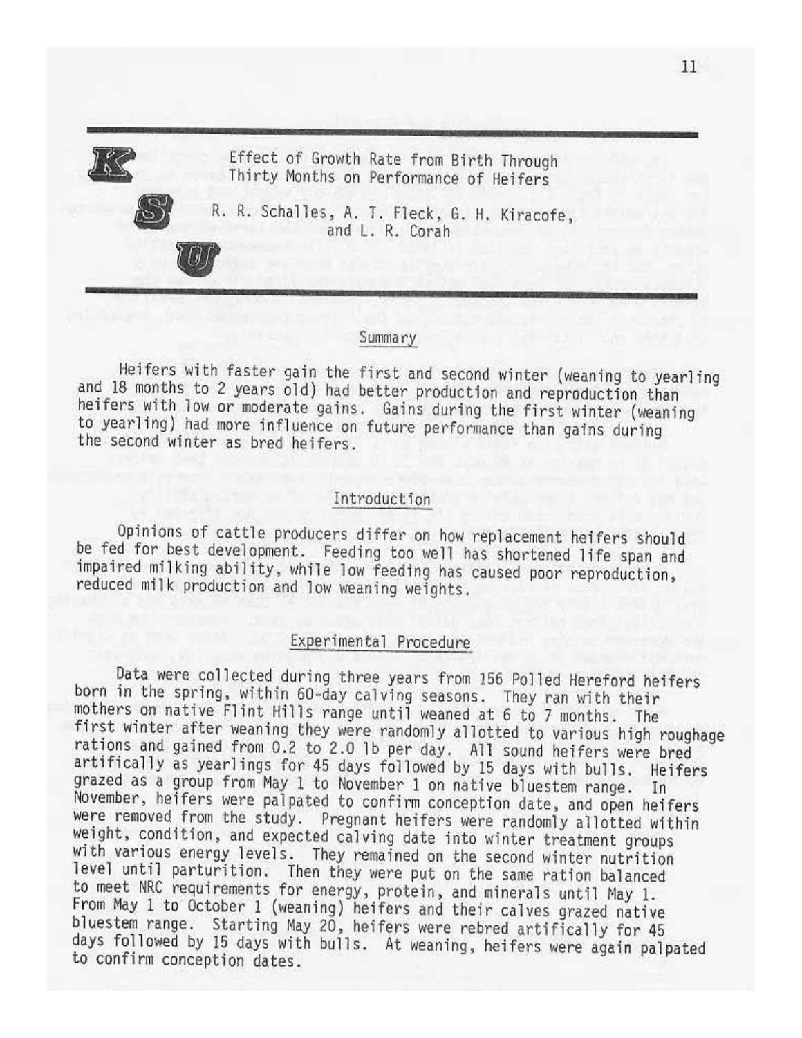Effect of Growth Rate from Birth Through Thirty Months on Performance of Heifers



R. R. Schalles, A. T. Fleck, G. H. Kiracofe, and L. R. Corah

#### Summary

Heifers with faster gain the first and second winter (weaning to yearling and 18 months to 2 years old) had better production and reproduction than heifers with low or moderate gains. Gains during the first winter (weaning to yearling) had more influence on future performance than gains during the second winter as bred heifers.

#### Introduction

Opinions of cattle producers differ on how replacement heifers should be fed for best development. Feeding too well has shortened life span and impaired milking ability, while low feeding has caused poor reproduction, reduced milk production and low weaning weights.

### Experimental Procedure

Data were collected during three years from 156 Polled Hereford heifers born in the spring, within 60-day calving seasons. They ran with their mothers on native Flint Hills range until weaned at 6 to 7 months. The first winter after weaning they were randomly allotted to various high roughage rations and gained from 0.2 to 2.0 1b per day. All sound heifers were bred artifically as yearlings for 45 days followed by 15 days with bulls. Heifers grazed as a group from May 1 to November 1 on native bluestem range. In November, heifers were palpated to confirm conception date, and open heifers were removed from the study. Pregnant heifers were randomly allotted within weight, condition, and expected calving date into winter treatment groups with various energy levels. They remained on the second winter nutrition level until parturition. Then they were put on the same ration balanced to meet NRC requirements for energy, protein, and minerals until May 1. From May 1 to October 1 (weaning) heifers and their calves grazed native bluestem range. Starting May 20, heifers were rebred artifically for 45 days followed by 15 days with bulls. At weaning, heifers were again palpated to confirm conception dates.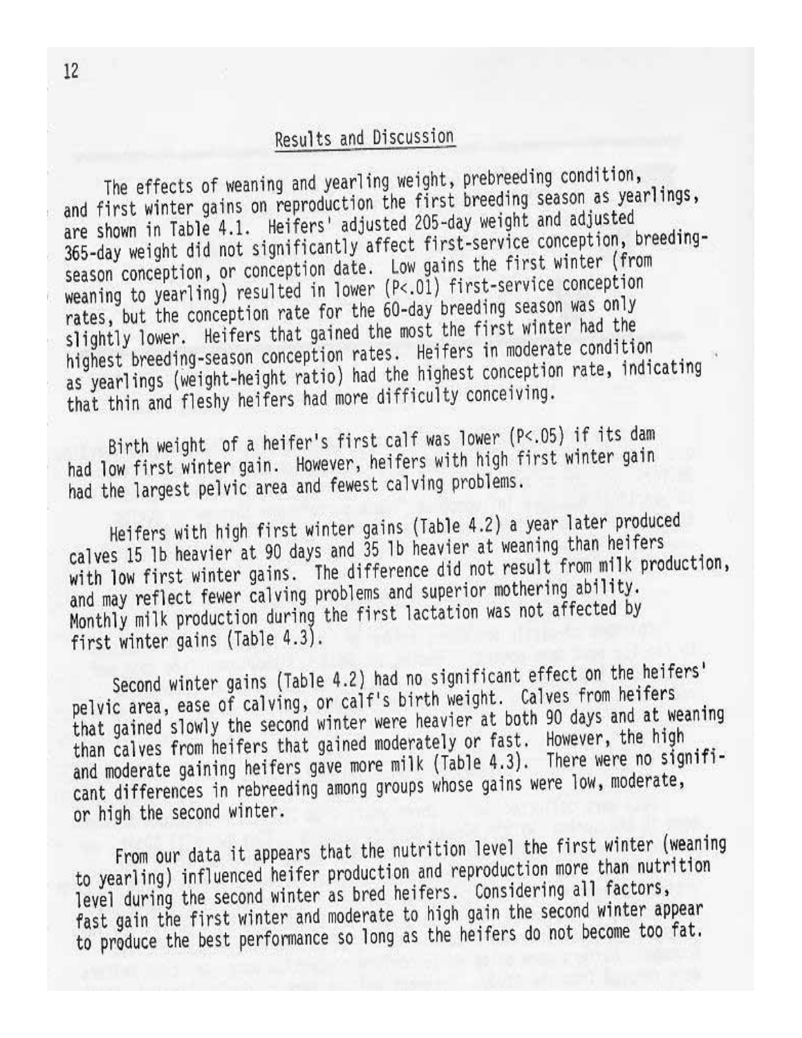## Results and Discussion

The effects of weaning and yearling weight, prebreeding condition, and first winter gains on reproduction the first breeding season as yearlings, are shown in Table 4.1. Heifers' adjusted 205-day weight and adjusted 365-day weight did not significantly affect first-service conception, breedingseason conception, or conception date. Low gains the first winter (from weaning to yearling) resulted in lower (P<.01) first-service conception rates, but the conception rate for the 60-day breeding season was only slightly lower. Heifers that gained the most the first winter had the highest breeding-season conception rates. Heifers in moderate condition as yearlings (weight-height ratio) had the highest conception rate, indicating that thin and fleshy heifers had more difficulty conceiving.

Birth weight of a heifer's first calf was lower (P<.05) if its dam had low first winter gain. However, heifers with high first winter gain had the largest pelvic area and fewest calving problems.

Heifers with high first winter gains (Table 4.2) a year later produced calves 15 lb heavier at 90 days and 35 lb heavier at weaning than heifers with low first winter gains. The difference did not result from milk production, and may reflect fewer calving problems and superior mothering ability. Monthly milk production during the first lactation was not affected by first winter gains (Table 4.3).

Second winter gains (Table 4.2) had no significant effect on the heifers' pelvic area, ease of calving, or calf's birth weight. Calves from heifers that gained slowly the second winter were heavier at both 90 days and at weaning than calves from heifers that gained moderately or fast. However, the high and moderate gaining heifers gave more milk (Table 4.3). There were no significant differences in rebreeding among groups whose gains were low, moderate, or high the second winter.

From our data it appears that the nutrition level the first winter (weaning to yearling) influenced heifer production and reproduction more than nutrition level during the second winter as bred heifers. Considering all factors, fast gain the first winter and moderate to high gain the second winter appear to produce the best performance so long as the heifers do not become too fat.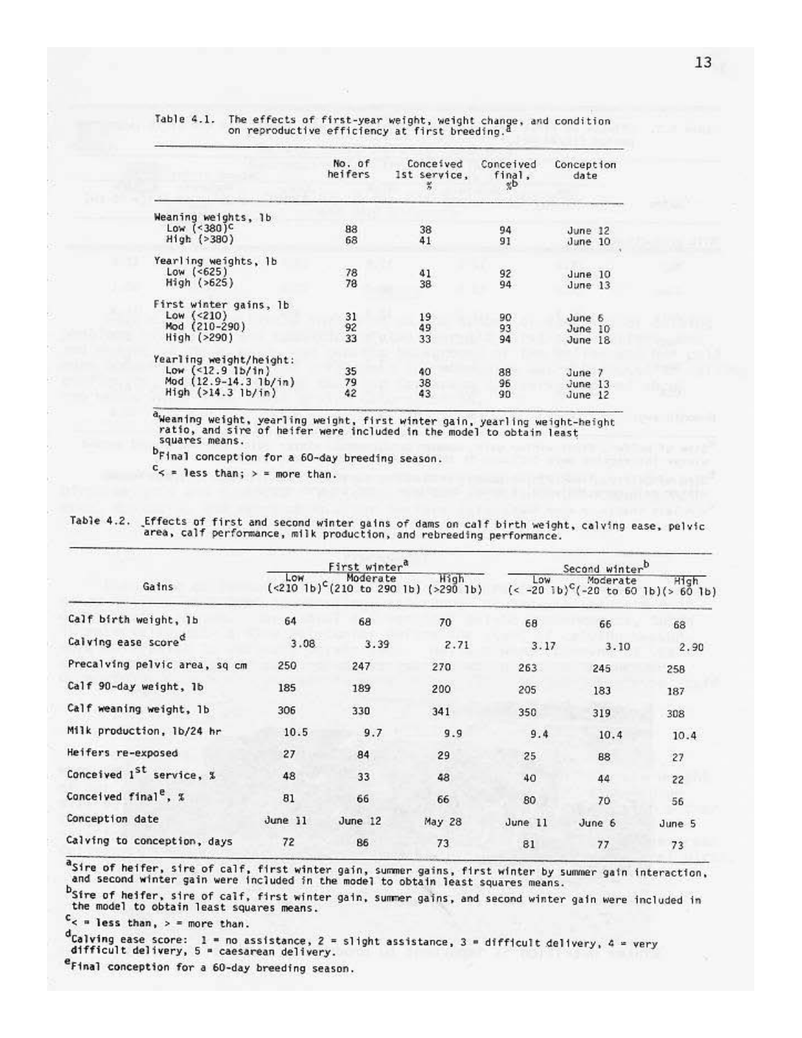|                                                                                                 | No. of<br>heifers | Conceived<br>Ist service.<br>桦 | Conceived<br>final,<br>χD | Conception<br>date             |
|-------------------------------------------------------------------------------------------------|-------------------|--------------------------------|---------------------------|--------------------------------|
| Weaning weights, 1b<br>Low $($ <380) <sup>c</sup><br>High (>380)                                | 88<br>68          | 38<br>41                       | 94<br>91                  | June 12<br>June 10             |
| Yearling weights, 1b<br>$Low$ $(625)$<br>High (>625)                                            | 78<br>78          | 41<br>38                       | 92<br>94                  | June 10<br>June 13             |
| First winter gains, 1b<br>Low $(\le 210)$<br>Mod (210-290)<br>High ( >290)                      | 31<br>92<br>33    | 19<br>49<br>33                 | 90<br>93<br>94            | June 6<br>June 10<br>June 18   |
| Yearling weight/height:<br>Low $($ <12.9 lb/in)<br>Mod (12.9-14.3 lb/in)<br>High ( >14.3 lb/in) | 35<br>79<br>42    | 40<br>38<br>43                 | 88<br>96<br>90            | June 7<br>June 13<br>June $12$ |

Table 4.1. The effects of first-year weight, weight change, and condition<br>on reproductive efficiency at first breeding.<sup>d</sup>

aweaning weight, yearling weight, first winter gain, yearling weight-height ratio, and sire of heifer were included in the model to obtain least squares means.

b<sub>Final</sub> conception for a 60-day breeding season.

 $c_{\le}$  = less than; > = more than.

| Table 4.2. Effects of first and second winter gains of dams on calf birth weight, calving ease, pelvic |  |
|--------------------------------------------------------------------------------------------------------|--|
| area, calf performance, milk production, and rebreeding performance.                                   |  |

|                                      | First winter <sup>a</sup> |                                                          |        | Second winterb |                                                                    |        |
|--------------------------------------|---------------------------|----------------------------------------------------------|--------|----------------|--------------------------------------------------------------------|--------|
| Gains                                | LOW                       | Moderate<br>$({\le}210~1b)^{c}(210~to~290~1b)$ (>290 1b) | High   | Low            | Moderate<br>$(< -20$ lb) <sup>C</sup> $(-20$ to 60 lb) $(> 60$ lb) | High   |
| Calf birth weight, 1b                | 64                        | 68                                                       | 70     | 68             | 66                                                                 | 68     |
| Calving ease score <sup>c</sup>      | 3.08                      | 3.39                                                     | 2.71   | 3.17           | 3.10                                                               | 2.90   |
| Precalving pelvic area, sq cm        | 250                       | 247                                                      | 270    | 263            | 245                                                                | 258    |
| Calf 90-day weight, 1b               | 185                       | 189                                                      | 200    | 205            | 183                                                                | 187    |
| Calf weaning weight, 1b              | 306                       | 330                                                      | 341    | 350            | 319                                                                | 308    |
| Milk production, 1b/24 hr            | 10.5                      | 9.7                                                      | 9.9    | 9.4            | 10.4                                                               | 10.4   |
| Heifers re-exposed                   | 27                        | 84                                                       | 29     | 25             | 88                                                                 | 27     |
| Conceived 1 <sup>st</sup> service, % | 48                        | 33                                                       | 48     | 40             | 44                                                                 | 22     |
| Conceived final <sup>e</sup> , %     | 81                        | 66                                                       | 66     | 80             | 70                                                                 | 56     |
| Conception date                      | June 11                   | June 12                                                  | May 28 | June 11        | June 6                                                             | June 5 |
| Calving to conception, days          | 72                        | 86                                                       | 73     | 81             | 77                                                                 | 73     |

asire of heifer, sire of calf, first winter gain, summer gains, first winter by summer gain interaction, and second winter gain were included in the model to obtain least squares means.

bsire of heifer, sire of calf, first winter gain, summer gains, and second winter gain were included in the model to obtain least squares means.

 $c$  = less than, > = more than.

d<sub>Calving</sub> ease score: 1 = no assistance, 2 = slight assistance, 3 = difficult delivery, 4 = very difficult delivery, 5 = caesarean delivery.

eFinal conception for a 60-day breeding season.